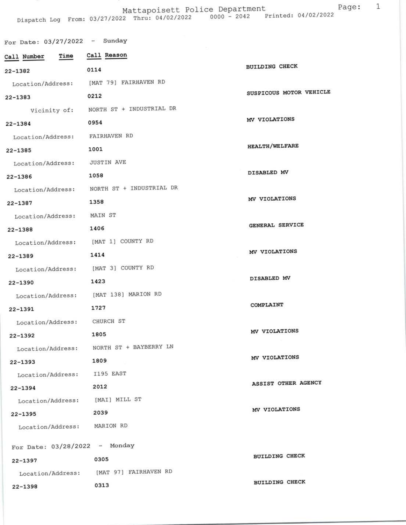## Mattapoisett Police Department

Dispatch Log From: 03/27/2022 Thru: 04/02/2022 0000 - 2042 Printed: 04/02/2022

| $D + D + C - D + E$      |                          |                         |
|--------------------------|--------------------------|-------------------------|
| For Date: $03/27/2022 -$ | Sunday                   |                         |
| Time<br>Call Number      | Call Reason              |                         |
| $22 - 1382$              | 0114                     | BUILDING CHECK          |
| Location/Address:        | [MAT 79] FAIRHAVEN RD    |                         |
| $22 - 1383$              | 0212                     | SUSPICOUS MOTOR VEHICLE |
| Vicinity of:             | NORTH ST + INDUSTRIAL DR |                         |
| $22 - 1384$              | 0954                     | MV VIOLATIONS           |
| Location/Address:        | FAIRHAVEN RD             |                         |
| $22 - 1385$              | 1001                     | <b>HEALTH/WELFARE</b>   |
| Location/Address:        | <b>JUSTIN AVE</b>        |                         |

| $22 - 1386$                                         | 1058                     | DISABLED MV     |
|-----------------------------------------------------|--------------------------|-----------------|
| Location/Address:                                   | NORTH ST + INDUSTRIAL DR |                 |
| $22 - 1387$                                         | 1358                     | MV VIOLATIONS   |
| Location/Address:                                   | MAIN ST                  |                 |
| $22 - 1388$                                         | 1406                     | GENERAL SERVICE |
| Location/Address:                                   | [MAT 1] COUNTY RD        |                 |
| $22 - 1389$                                         | 1414                     | MV VIOLATIONS   |
| Location/Address:                                   | [MAT 3] COUNTY RD        |                 |
| $22 - 1390$                                         | 1423                     | DISABLED MV     |
| Location/Address:                                   | [MAT 138] MARION RD      |                 |
| $22 - 1391$                                         | 1727                     | COMPLAINT       |
| Location/Address:                                   | CHURCH ST                |                 |
| $22 - 1392$                                         | 1805                     | MV VIOLATIONS   |
| Location/Address:                                   | NORTH ST + BAYBERRY LN   |                 |
| THE R. P. LEWIS CO., LANSING MICH. 49-14039-1-120-2 | 3000                     | MV VIOLATIONS   |

 $22 - 1393$ 

Location/Address: I195 EAST

 $22 - 1394$ 

 $22 - 1395$ 

Location/Address: [MAI] MILL ST

2039

Location/Address: MARION RD

For Date:  $03/28/2022 -$  Monday

22-1397

Location/Address: [MAT 97] FAIRHAVEN RD

 $22 - 1398$ 

0305 0313

1809

2012

**BUILDING CHECK** 

MV VIOLATIONS

ASSIST OTHER AGENCY

DISABLED MV

BUILDING CHECK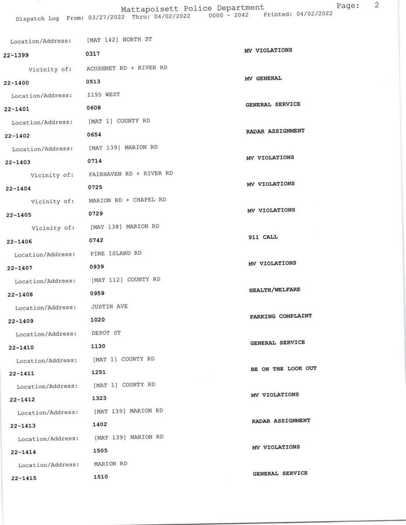Mattapoisett Police Department<br>Dispatch Log From: 03/27/2022 Thru: 04/02/2022 0000 - 2042 Printed: 04/02/2022

| Location/Address: [MAT 142] NORTH ST |                                       |                       |
|--------------------------------------|---------------------------------------|-----------------------|
| $22 - 1399$                          | 0317                                  | MV VIOLATIONS         |
|                                      | Vicinity of: ACUSHNET RD + RIVER RD   |                       |
| $22 - 1400$                          | 0513                                  | MV GENERAL            |
| Location/Address: I195 WEST          |                                       |                       |
| $22 - 1401$                          | 0608                                  | GENERAL SERVICE       |
| Location/Address:                    | [MAT 1] COUNTY RD                     |                       |
| $22 - 1402$                          | 0654                                  | RADAR ASSIGNMENT      |
|                                      | Location/Address: [MAT 139] MARION RD |                       |
| $22 - 1403$                          | 0714                                  | MV VIOLATIONS         |
|                                      | Vicinity of: FAIRHAVEN RD + RIVER RD  |                       |
| $22 - 1404$                          | 0725                                  | MV VIOLATIONS         |
|                                      | Vicinity of: MARION RD + CHAPEL RD    |                       |
| $22 - 1405$                          | 0729                                  | MV VIOLATIONS         |
|                                      | Vicinity of: [MAT 138] MARION RD      |                       |
| $22 - 1406$                          | 0742                                  | 911 CALL              |
| Location/Address: PINE ISLAND RD     |                                       |                       |
| $22 - 1407$                          | 0939                                  | MV VIOLATIONS         |
| Location/Address:                    | [MAT 112] COUNTY RD                   |                       |
| $22 - 1408$                          | 0959                                  | <b>HEALTH/WELFARE</b> |
| Location/Address:                    | <b>JUSTIN AVE</b>                     |                       |
| $22 - 1409$                          | 1020                                  | PARKING COMPLAINT     |
| Location/Address:                    | DEPOT ST                              |                       |
| $22 - 1410$                          | 1130                                  | GENERAL SERVICE       |
| Location/Address:                    | [MAT 1] COUNTY RD                     |                       |
| $22 - 1411$                          | 1251                                  | BE ON THE LOOK OUT    |
| Location/Address:                    | [MAT 1] COUNTY RD                     |                       |
| $22 - 1412$                          | 1323                                  | MV VIOLATIONS         |
| Location/Address:                    | [MAT 139] MARION RD                   |                       |
| $22 - 1413$                          | 1402                                  | RADAR ASSIGNMENT      |
| Location/Address:                    | [MAT 139] MARION RD                   |                       |
| $22 - 1414$                          | 1505                                  | MV VIOLATIONS         |
| Location/Address:                    | MARION RD                             | GENERAL SERVICE       |
| $22 - 1415$                          | 1510                                  |                       |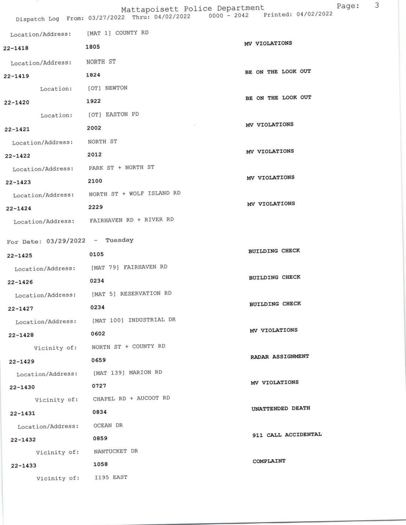| Location/Address:                         | [MAT 1] COUNTY RD                           |                       |
|-------------------------------------------|---------------------------------------------|-----------------------|
| $22 - 1418$                               | 1805                                        | MV VIOLATIONS         |
| Location/Address:                         | NORTH ST                                    |                       |
| $22 - 1419$                               | 1824                                        | BE ON THE LOOK OUT    |
| Location: [OT] NEWTON                     |                                             |                       |
| $22 - 1420$                               | 1922                                        | BE ON THE LOOK OUT    |
|                                           | Location: [OT] EASTON PD                    |                       |
| $22 - 1421$                               | ¥5<br>2002                                  | MV VIOLATIONS         |
| Location/Address:                         | NORTH ST                                    |                       |
| $22 - 1422$                               | 2012                                        | MV VIOLATIONS         |
| Location/Address: PARK ST + NORTH ST      |                                             |                       |
| $22 - 1423$                               | 2100                                        | MV VIOLATIONS         |
|                                           | Location/Address: NORTH ST + WOLF ISLAND RD |                       |
| $22 - 1424$                               | 2229                                        | MV VIOLATIONS         |
|                                           | Location/Address: FAIRHAVEN RD + RIVER RD   |                       |
|                                           |                                             |                       |
| For Date: $03/29/2022 -$ Tuesday          |                                             | <b>BUILDING CHECK</b> |
| $22 - 1425$                               | 0105                                        |                       |
|                                           | Location/Address: [MAT 79] FAIRHAVEN RD     | <b>BUILDING CHECK</b> |
| $22 - 1426$                               | 0234                                        |                       |
|                                           | Location/Address: [MAT 5] RESERVATION RD    | <b>BUILDING CHECK</b> |
| $22 - 1427$                               | 0234                                        |                       |
| Location/Address:                         | [MAT 100] INDUSTRIAL DR                     | MV VIOLATIONS         |
| $22 - 1428$                               | 0602                                        |                       |
|                                           | Vicinity of: NORTH ST + COUNTY RD           | RADAR ASSIGNMENT      |
| $22 - 1429$                               | 0659                                        |                       |
|                                           | Location/Address: [MAT 139] MARION RD       | MV VIOLATIONS         |
| $22 - 1430$                               | 0727<br>Vicinity of: CHAPEL RD + AUCOOT RD  |                       |
|                                           | 0834                                        | UNATTENDED DEATH      |
| $22 - 1431$<br>Location/Address: OCEAN DR |                                             |                       |
|                                           | 0859                                        | 911 CALL ACCIDENTAL   |
| $22 - 1432$                               | Vicinity of: NANTUCKET DR                   |                       |
| $22 - 1433$                               | 1058                                        | COMPLAINT             |
| Vicinity of: I195 EAST                    |                                             |                       |
|                                           |                                             |                       |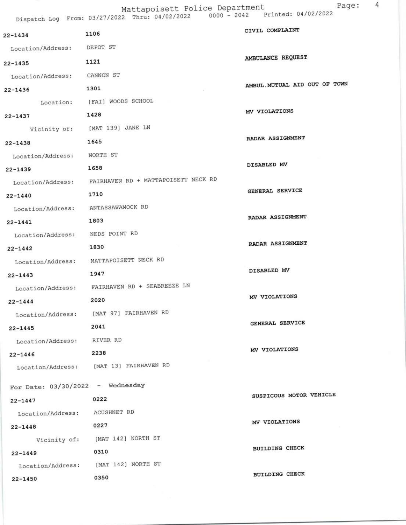Mattapoisett Police Department<br>Dispatch Log From: 03/27/2022 Thru: 04/02/2022 0000 - 2042 Printed: 04/02/2022

| Dispacculary result served         |                                                       |                               |
|------------------------------------|-------------------------------------------------------|-------------------------------|
| 22-1434                            | 1106                                                  | CIVIL COMPLAINT               |
| Location/Address: DEPOT ST         |                                                       |                               |
| 22-1435                            | 1121                                                  | AMBULANCE REQUEST             |
| Location/Address: CANNON ST        |                                                       |                               |
| $22 - 1436$                        | 1301                                                  | AMBUL. MUTUAL AID OUT OF TOWN |
|                                    | Location: [FAI] WOODS SCHOOL                          |                               |
| $22 - 1437$                        | 1428                                                  | MV VIOLATIONS                 |
|                                    | Vicinity of: [MAT 139] JANE LN                        |                               |
| $22 - 1438$                        | 1645                                                  | RADAR ASSIGNMENT              |
| Location/Address: NORTH ST         |                                                       |                               |
| $22 - 1439$                        | 1658                                                  | DISABLED MV                   |
|                                    | Location/Address: FAIRHAVEN RD + MATTAPOISETT NECK RD |                               |
| $22 - 1440$                        | 1710                                                  | GENERAL SERVICE               |
| Location/Address: ANTASSAWAMOCK RD |                                                       |                               |
| $22 - 1441$                        | 1803                                                  | RADAR ASSIGNMENT              |
| Location/Address: NEDS POINT RD    |                                                       |                               |
| $22 - 1442$                        | 1830                                                  | RADAR ASSIGNMENT              |
|                                    | Location/Address: MATTAPOISETT NECK RD                |                               |
| $22 - 1443$                        | 1947                                                  | DISABLED MV                   |
|                                    | Location/Address: FAIRHAVEN RD + SEABREEZE LN         |                               |
| $22 - 1444$                        | 2020                                                  | MV VIOLATIONS                 |
|                                    | Location/Address: [MAT 97] FAIRHAVEN RD               |                               |
| $22 - 1445$                        | 2041                                                  | GENERAL SERVICE               |
| Location/Address: RIVER RD         |                                                       |                               |
| $22 - 1446$                        | 2238                                                  | MV VIOLATIONS                 |
|                                    | Location/Address: [MAT 13] FAIRHAVEN RD               |                               |
| For Date: $03/30/2022 -$ Wednesday |                                                       |                               |
| $22 - 1447$                        | 0222                                                  | SUSPICOUS MOTOR VEHICLE       |
| Location/Address:                  | <b>ACUSHNET RD</b>                                    |                               |
| $22 - 1448$                        | 0227                                                  | MV VIOLATIONS                 |
|                                    | Vicinity of: [MAT 142] NORTH ST                       |                               |
| $22 - 1449$                        | 0310                                                  | <b>BUILDING CHECK</b>         |
| Location/Address:                  | [MAT 142] NORTH ST                                    |                               |
| $22 - 1450$                        | 0350                                                  | <b>BUILDING CHECK</b>         |
|                                    |                                                       |                               |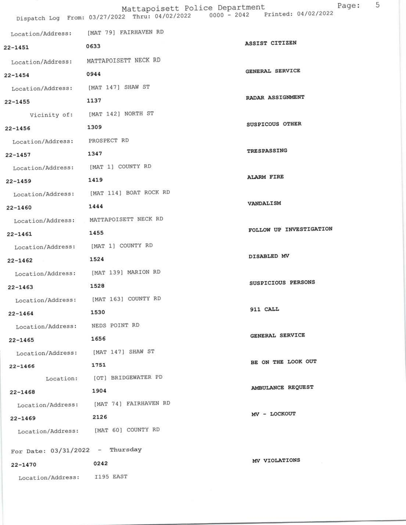|                                   |                                                                                                                  | 5                       |
|-----------------------------------|------------------------------------------------------------------------------------------------------------------|-------------------------|
|                                   | Mattapoisett Police Department<br>Dispatch Log From: 03/27/2022 Thru: 04/02/2022 0000 - 2042 Printed: 04/02/2022 | Page:                   |
| Location/Address:                 | [MAT 79] FAIRHAVEN RD                                                                                            |                         |
| 22-1451                           | 0633                                                                                                             | ASSIST CITIZEN          |
| Location/Address:                 | MATTAPOISETT NECK RD                                                                                             |                         |
| $22 - 1454$                       | 0944                                                                                                             | GENERAL SERVICE         |
| Location/Address:                 | [MAT 147] SHAW ST                                                                                                |                         |
| $22 - 1455$                       | 1137                                                                                                             | RADAR ASSIGNMENT        |
| Vicinity of:                      | [MAT 142] NORTH ST                                                                                               |                         |
| $22 - 1456$                       | 1309                                                                                                             | SUSPICOUS OTHER         |
| Location/Address:                 | PROSPECT RD                                                                                                      |                         |
| $22 - 1457$                       | 1347                                                                                                             | TRESPASSING             |
| Location/Address:                 | [MAT 1] COUNTY RD                                                                                                |                         |
| $22 - 1459$                       | 1419                                                                                                             | <b>ALARM FIRE</b>       |
| Location/Address:                 | [MAT 114] BOAT ROCK RD                                                                                           |                         |
| $22 - 1460$                       | 1444                                                                                                             | VANDALISM               |
| Location/Address:                 | MATTAPOISETT NECK RD                                                                                             |                         |
| $22 - 1461$                       | 1455                                                                                                             | FOLLOW UP INVESTIGATION |
| Location/Address:                 | [MAT 1] COUNTY RD                                                                                                |                         |
| $22 - 1462$                       | 1524                                                                                                             | DISABLED MV             |
| Location/Address:                 | [MAT 139] MARION RD                                                                                              |                         |
| $22 - 1463$                       | 1528                                                                                                             | SUSPICIOUS PERSONS      |
|                                   | Location/Address: [MAT 163] COUNTY RD                                                                            |                         |
| $22 - 1464$                       | 1530                                                                                                             | 911 CALL                |
| Location/Address: NEDS POINT RD   |                                                                                                                  |                         |
| $22 - 1465$                       | 1656                                                                                                             | GENERAL SERVICE         |
|                                   | Location/Address: [MAT 147] SHAW ST                                                                              |                         |
| $22 - 1466$                       | 1751                                                                                                             | BE ON THE LOOK OUT      |
|                                   | Location: [OT] BRIDGEWATER PD                                                                                    | AMBULANCE REQUEST       |
| $22 - 1468$                       | 1904                                                                                                             |                         |
|                                   | Location/Address: [MAT 74] FAIRHAVEN RD                                                                          | MV - LOCKOUT            |
| $22 - 1469$                       | 2126                                                                                                             |                         |
|                                   | Location/Address: [MAT 60] COUNTY RD                                                                             |                         |
| For Date: $03/31/2022$ - Thursday |                                                                                                                  |                         |
| $22 - 1470$                       | 0242                                                                                                             | MV VIOLATIONS           |
| Location/Address:                 | I195 EAST                                                                                                        |                         |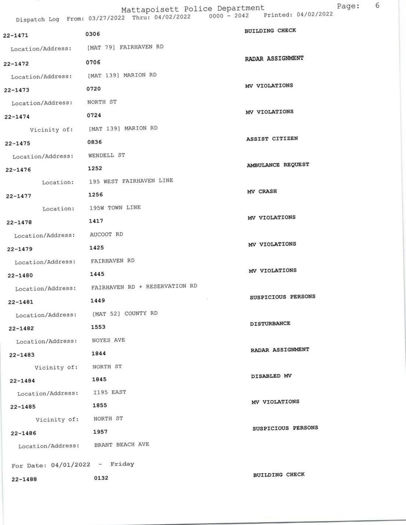Page: 6<br>22 Thru: 04/02/2022 0000 - 2042 Printed: 04/02/2022

|             |      | Dispatch Log From: 03/27/2022 Thru: 04/02/2022 | $UUUU = ZUAZ$ | $L$ $\overline{L}$ $\overline{L}$ $\overline{L}$ $\overline{L}$ $\overline{L}$ $\overline{L}$ $\overline{L}$ $\overline{L}$ $\overline{L}$ $\overline{L}$ $\overline{L}$ $\overline{L}$ $\overline{L}$ $\overline{L}$ $\overline{L}$ $\overline{L}$ $\overline{L}$ $\overline{L}$ $\overline{L}$ $\overline{L}$ $\overline{L}$ $\overline{L}$ $\overline{L}$ $\overline{L}$ |  |
|-------------|------|------------------------------------------------|---------------|-----------------------------------------------------------------------------------------------------------------------------------------------------------------------------------------------------------------------------------------------------------------------------------------------------------------------------------------------------------------------------|--|
| $22 - 1471$ | 0306 |                                                |               | <b>BUILDING CHECK</b>                                                                                                                                                                                                                                                                                                                                                       |  |

| 22-1471                         | <b>0000</b>                                     |                    |
|---------------------------------|-------------------------------------------------|--------------------|
|                                 | Location/Address: [MAT 79] FAIRHAVEN RD         |                    |
| $22 - 1472$                     | 0706                                            | RADAR ASSIGNMENT   |
|                                 | Location/Address: [MAT 139] MARION RD           |                    |
| $22 - 1473$                     | 0720                                            | MV VIOLATIONS      |
| Location/Address:               | NORTH ST                                        |                    |
| $22 - 1474$                     | 0724                                            | MV VIOLATIONS      |
|                                 | Vicinity of: [MAT 139] MARION RD                |                    |
| $22 - 1475$                     | 0836                                            | ASSIST CITIZEN     |
| Location/Address: WENDELL ST    |                                                 |                    |
| $22 - 1476$                     | 1252                                            | AMBULANCE REQUEST  |
|                                 | Location: 195 WEST FAIRHAVEN LINE               |                    |
| $22 - 1477$                     | 1256                                            | MV CRASH           |
|                                 | Location: 195W TOWN LINE                        |                    |
| $22 - 1478$                     | 1417                                            | MV VIOLATIONS      |
| Location/Address: AUCOOT RD     |                                                 |                    |
| $22 - 1479$                     | 1425                                            | MV VIOLATIONS      |
| Location/Address: FAIRHAVEN RD  |                                                 |                    |
| $22 - 1480$                     | 1445                                            | MV VIOLATIONS      |
|                                 | Location/Address: FAIRHAVEN RD + RESERVATION RD |                    |
| $22 - 1481$                     | 1449                                            | SUSPICIOUS PERSONS |
| Location/Address:               | [MAT 52] COUNTY RD                              |                    |
| $22 - 1482$                     | 1553                                            | <b>DISTURBANCE</b> |
| Location/Address: NOYES AVE     |                                                 |                    |
| $22 - 1483$                     | 1844                                            | RADAR ASSIGNMENT   |
| Vicinity of: NORTH ST           |                                                 |                    |
| $22 - 1484$                     | 1845                                            | DISABLED MV        |
| Location/Address: I195 EAST     |                                                 |                    |
| $22 - 1485$                     | 1855                                            | MV VIOLATIONS      |
| Vicinity of: NORTH ST           |                                                 | SUSPICIOUS PERSONS |
| $22 - 1486$                     | 1957                                            |                    |
|                                 | Location/Address: BRANT BEACH AVE               |                    |
| For Date: $04/01/2022 -$ Friday |                                                 |                    |
| 22-1488                         | 0132                                            | BUILDING CHECK     |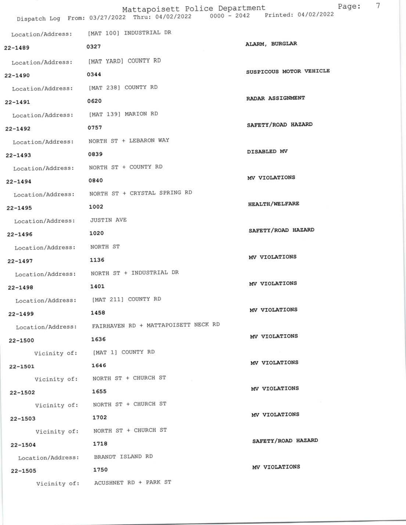|                   | Mattapoisett Police Department<br>Dispatch Log From: 03/27/2022 Thru: 04/02/2022 0000 - 2042 Printed: 04/02/2022 | Page                    |
|-------------------|------------------------------------------------------------------------------------------------------------------|-------------------------|
|                   |                                                                                                                  |                         |
| Location/Address: | [MAT 100] INDUSTRIAL DR                                                                                          | ALARM, BURGLAR          |
| 22-1489           | 0327                                                                                                             |                         |
| Location/Address: | [MAT YARD] COUNTY RD                                                                                             | SUSPICOUS MOTOR VEHICLE |
| $22 - 1490$       | 0344                                                                                                             |                         |
| Location/Address: | [MAT 238] COUNTY RD                                                                                              |                         |
| $22 - 1491$       | 0620                                                                                                             | RADAR ASSIGNMENT        |
| Location/Address: | [MAT 139] MARION RD                                                                                              |                         |
| $22 - 1492$       | 0757                                                                                                             | SAFETY/ROAD HAZARD      |
| Location/Address: | NORTH ST + LEBARON WAY                                                                                           |                         |
| $22 - 1493$       | 0839                                                                                                             | DISABLED MV             |
| Location/Address: | NORTH ST + COUNTY RD                                                                                             |                         |
| $22 - 1494$       | 0840                                                                                                             | MV VIOLATIONS           |
| Location/Address: | NORTH ST + CRYSTAL SPRING RD                                                                                     |                         |
| $22 - 1495$       | 1002                                                                                                             | <b>HEALTH/WELFARE</b>   |
| Location/Address: | <b>JUSTIN AVE</b>                                                                                                |                         |
| $22 - 1496$       | 1020                                                                                                             | SAFETY/ROAD HAZARD      |
| Location/Address: | NORTH ST                                                                                                         |                         |
| $22 - 1497$       | 1136                                                                                                             | MV VIOLATIONS           |
| Location/Address: | NORTH ST + INDUSTRIAL DR                                                                                         |                         |
| $22 - 1498$       | 1401                                                                                                             | MV VIOLATIONS           |
| Location/Address: | [MAT 211] COUNTY RD                                                                                              |                         |
| $22 - 1499$       | 1458                                                                                                             | MV VIOLATIONS           |
|                   | Location/Address: FAIRHAVEN RD + MATTAPOISETT NECK RD                                                            |                         |
| 22-1500           | 1636                                                                                                             | MV VIOLATIONS           |
|                   | Vicinity of: [MAT 1] COUNTY RD                                                                                   |                         |
| 22-1501           | 1646                                                                                                             | MV VIOLATIONS           |
|                   | Vicinity of: NORTH ST + CHURCH ST                                                                                |                         |
| $22 - 1502$       | 1655                                                                                                             | MV VIOLATIONS           |
|                   | Vicinity of: NORTH ST + CHURCH ST                                                                                |                         |
| $22 - 1503$       | 1702                                                                                                             | MV VIOLATIONS           |
|                   | Vicinity of: NORTH ST + CHURCH ST                                                                                |                         |
| $22 - 1504$       | 1718                                                                                                             | SAFETY/ROAD HAZARD      |
| Location/Address: | BRANDT ISLAND RD                                                                                                 |                         |
| 22-1505           | 1750                                                                                                             | MV VIOLATIONS           |
|                   | Vicinity of: ACUSHNET RD + PARK ST                                                                               |                         |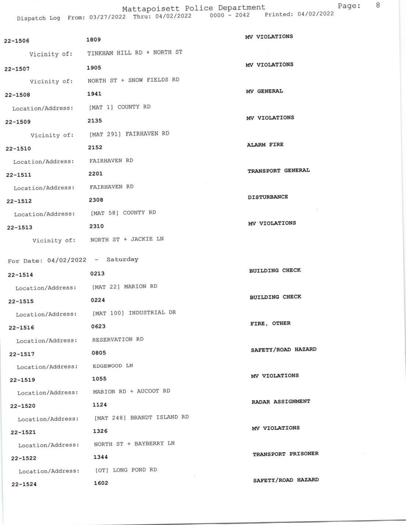Mattapoisett Police Department<br>Dispatch Log From: 03/27/2022 Thru: 04/02/2022 0000 - 2042 Printed: 04/02/2022

| $22 - 1506$                       | 1809                                              | MV VIOLATIONS         |
|-----------------------------------|---------------------------------------------------|-----------------------|
|                                   | Vicinity of: TINKHAM HILL RD + NORTH ST           |                       |
| $22 - 1507$                       | 1905                                              | MV VIOLATIONS         |
|                                   | Vicinity of: NORTH ST + SNOW FIELDS RD            |                       |
| $22 - 1508$                       | 1941                                              | MV GENERAL            |
| Location/Address:                 | [MAT 1] COUNTY RD                                 |                       |
| $22 - 1509$                       | 2135                                              | MV VIOLATIONS         |
|                                   | Vicinity of: [MAT 291] FAIRHAVEN RD               |                       |
| $22 - 1510$                       | 2152                                              | <b>ALARM FIRE</b>     |
| Location/Address: FAIRHAVEN RD    |                                                   |                       |
| $22 - 1511$                       | 2201                                              | TRANSPORT GENERAL     |
| Location/Address: FAIRHAVEN RD    |                                                   |                       |
| $22 - 1512$                       | 2308                                              | <b>DISTURBANCE</b>    |
|                                   | Location/Address: [MAT 58] COUNTY RD              |                       |
| $22 - 1513$                       | 2310                                              | MV VIOLATIONS         |
|                                   | Vicinity of: NORTH ST + JACKIE LN                 |                       |
| For Date: $04/02/2022 -$ Saturday |                                                   |                       |
|                                   | 0213                                              | <b>BUILDING CHECK</b> |
| $22 - 1514$                       |                                                   |                       |
|                                   | Location/Address: [MAT 22] MARION RD              | <b>BUILDING CHECK</b> |
| $22 - 1515$                       | 0224                                              |                       |
|                                   | Location/Address: [MAT 100] INDUSTRIAL DR<br>0623 | FIRE, OTHER           |
| $22 - 1516$                       |                                                   |                       |
| Location/Address: RESERVATION RD  | 0805                                              | SAFETY/ROAD HAZARD    |
| 22-1517                           | EDGEWOOD LN                                       |                       |
| Location/Address:                 | 1055                                              | MV VIOLATIONS         |
| $22 - 1519$<br>Location/Address:  | MARION RD + AUCOOT RD                             |                       |
| $22 - 1520$                       | 1124                                              | RADAR ASSIGNMENT      |
| Location/Address:                 | [MAT 248] BRANDT ISLAND RD                        |                       |
| $22 - 1521$                       | 1326                                              | MV VIOLATIONS         |
| Location/Address:                 | NORTH ST + BAYBERRY LN                            |                       |
| $22 - 1522$                       | 1344                                              | TRANSPORT PRISONER    |
| Location/Address:                 | [OT] LONG POND RD                                 |                       |
| $22 - 1524$                       | 1602                                              | SAFETY/ROAD HAZARD    |
|                                   |                                                   |                       |